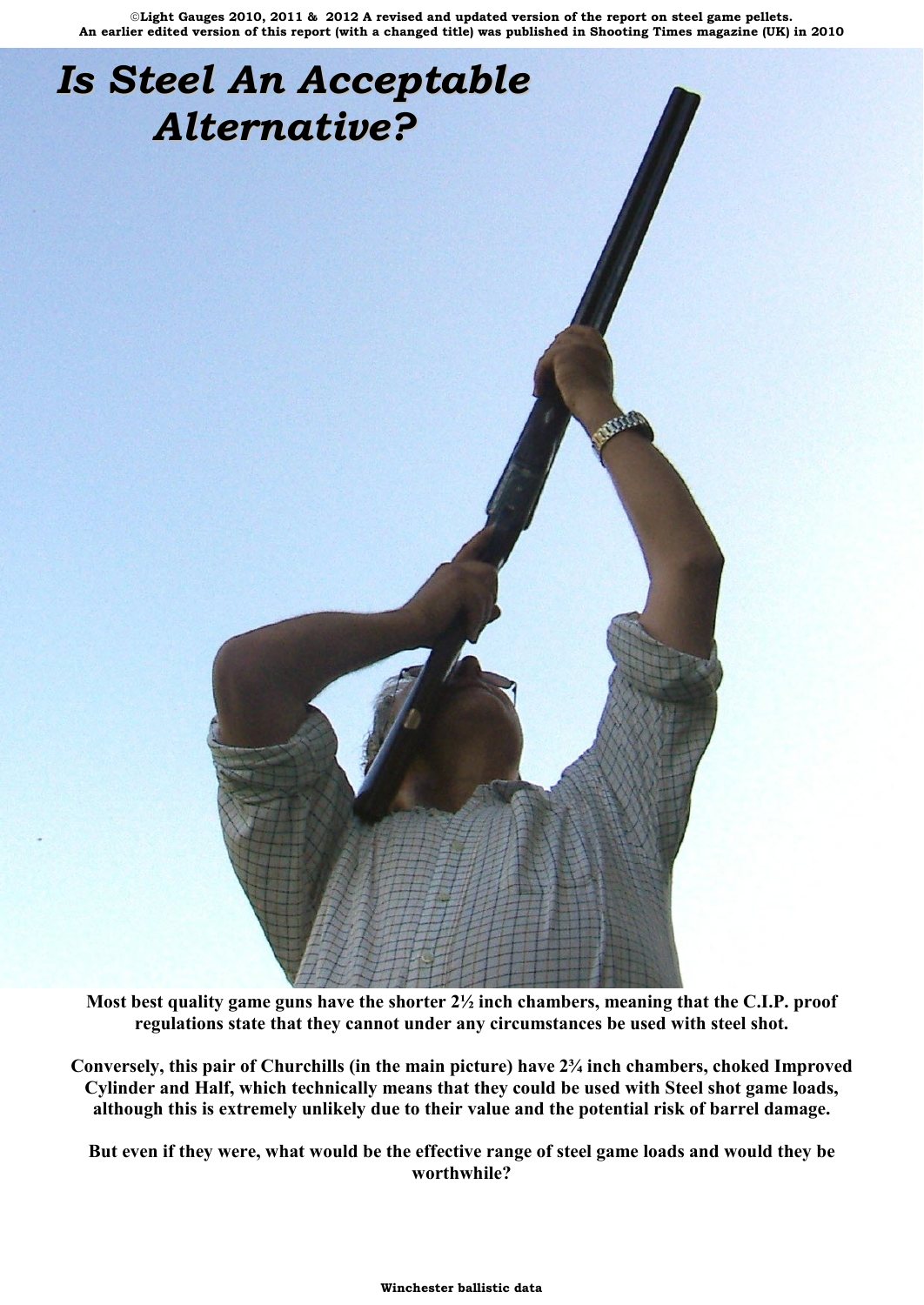# *Is Steel An Acceptable Alternative?*

**Most best quality game guns have the shorter 2½ inch chambers, meaning that the C.I.P. proof regulations state that they cannot under any circumstances be used with steel shot.**

**Conversely, this pair of Churchills (in the main picture) have 2¾ inch chambers, choked Improved Cylinder and Half, which technically means that they could be used with Steel shot game loads, although this is extremely unlikely due to their value and the potential risk of barrel damage.**

**But even if they were, what would be the effective range of steel game loads and would they be worthwhile?**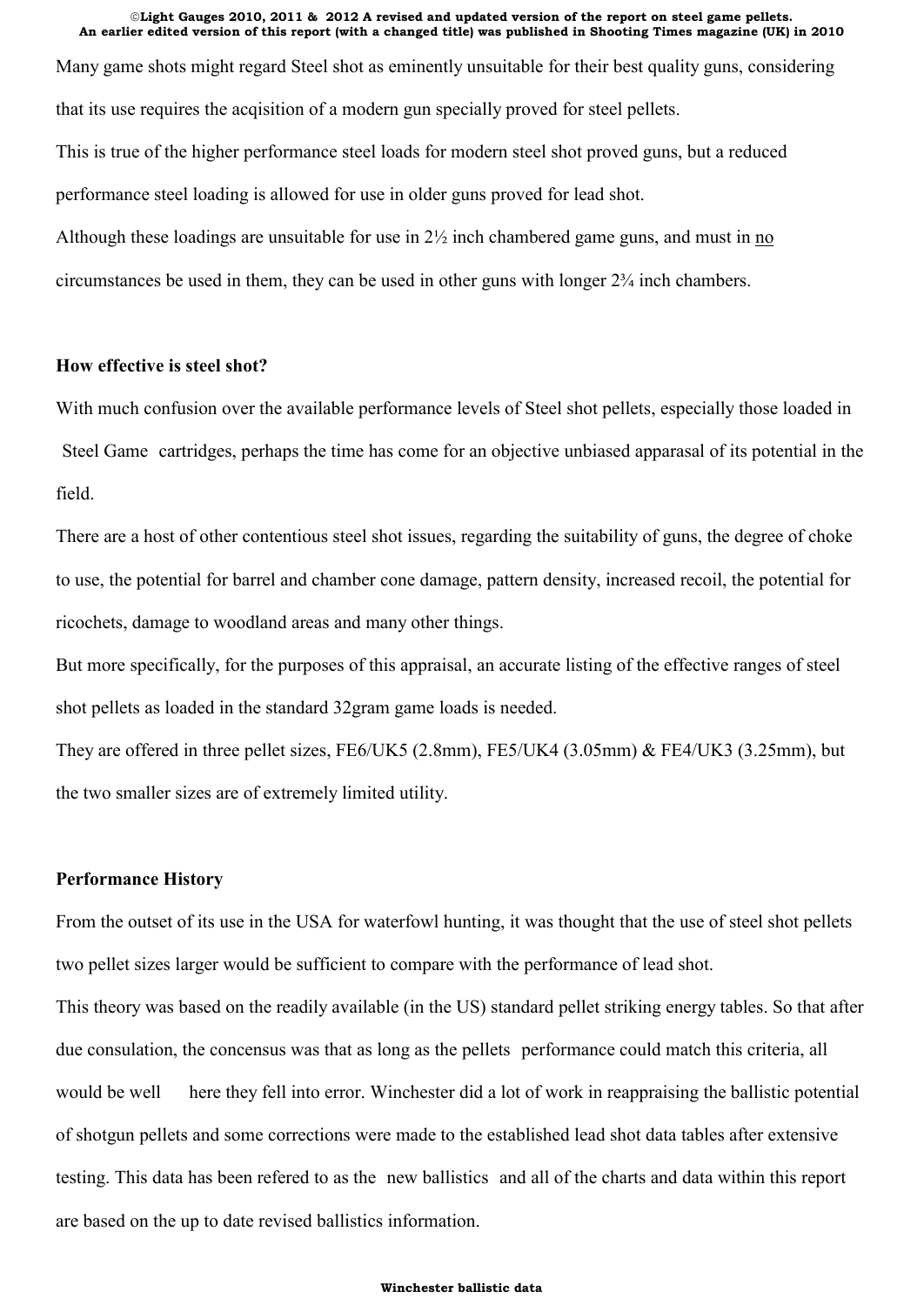**An earlier edited version of this report (with a changed title) was published in Shooting Times magazine (UK) in 2010** Many game shots might regard Steel shot as eminently unsuitable for their best quality guns, considering that its use requires the acqisition of a modern gun specially proved for steel pellets. This is true of the higher performance steel loads for modern steel shot proved guns, but a reduced performance steel loading is allowed for use in older guns proved for lead shot. Although these loadings are unsuitable for use in 2½ inch chambered game guns, and must in no circumstances be used in them, they can be used in other guns with longer 2¾ inch chambers.

"**Light Gauges 2010, 2011 & 2012 A revised and updated version of the report on steel game pellets.**

# **How effective is steel shot?**

With much confusion over the available performance levels of Steel shot pellets, especially those loaded in Steel Game cartridges, perhaps the time has come for an objective unbiased apparasal of its potential in the field.

There are a host of other contentious steel shot issues, regarding the suitability of guns, the degree of choke to use, the potential for barrel and chamber cone damage, pattern density, increased recoil, the potential for ricochets, damage to woodland areas and many other things.

But more specifically, for the purposes of this appraisal, an accurate listing of the effective ranges of steel shot pellets as loaded in the standard 32gram game loads is needed.

They are offered in three pellet sizes, FE6/UK5 (2.8mm), FE5/UK4 (3.05mm) & FE4/UK3 (3.25mm), but the two smaller sizes are of extremely limited utility.

## **Performance History**

From the outset of its use in the USA for waterfowl hunting, it was thought that the use of steel shot pellets two pellet sizes larger would be sufficient to compare with the performance of lead shot.

This theory was based on the readily available (in the US) standard pellet striking energy tables. So that after due consulation, the concensus was that as long as the pellets performance could match this criteria, all would be well here they fell into error. Winchester did a lot of work in reappraising the ballistic potential of shotgun pellets and some corrections were made to the established lead shot data tables after extensive testing. This data has been refered to as the new ballistics and all of the charts and data within this report are based on the up to date revised ballistics information.

#### **Winchester ballistic data**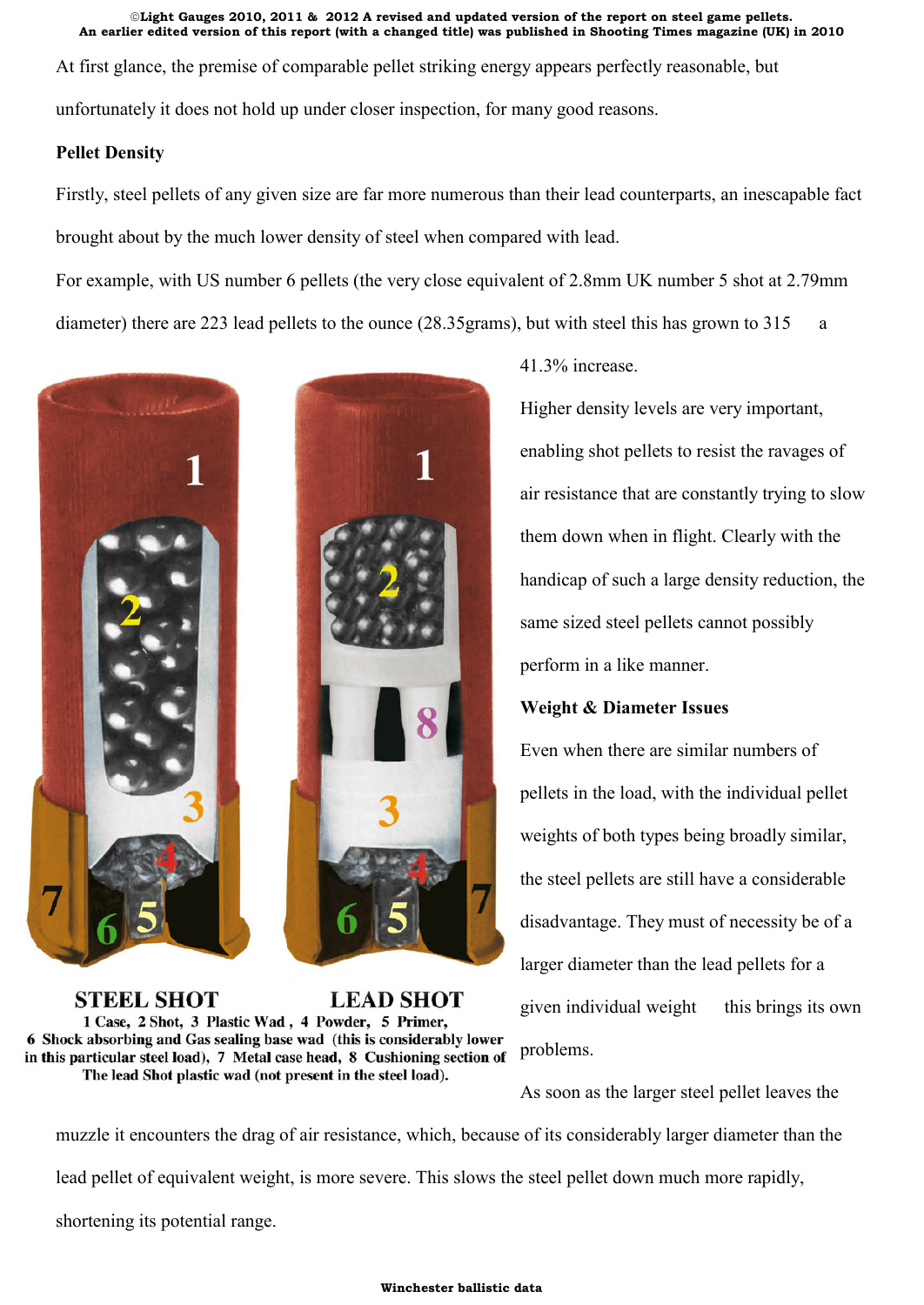At first glance, the premise of comparable pellet striking energy appears perfectly reasonable, but unfortunately it does not hold up under closer inspection, for many good reasons.

# **Pellet Density**

Firstly, steel pellets of any given size are far more numerous than their lead counterparts, an inescapable fact brought about by the much lower density of steel when compared with lead.

For example, with US number 6 pellets (the very close equivalent of 2.8mm UK number 5 shot at 2.79mm diameter) there are 223 lead pellets to the ounce (28.35 grams), but with steel this has grown to 315 a



**STEEL SHOT LEAD SHOT** 1 Case, 2 Shot, 3 Plastic Wad, 4 Powder, 5 Primer, 6 Shock absorbing and Gas sealing base wad (this is considerably lower in this particular steel load), 7 Metal case head, 8 Cushioning section of The lead Shot plastic wad (not present in the steel load).

41.3% increase.

Higher density levels are very important, enabling shot pellets to resist the ravages of air resistance that are constantly trying to slow them down when in flight. Clearly with the handicap of such a large density reduction, the same sized steel pellets cannot possibly perform in a like manner.

# **Weight & Diameter Issues**

Even when there are similar numbers of pellets in the load, with the individual pellet weights of both types being broadly similar, the steel pellets are still have a considerable disadvantage. They must of necessity be of a larger diameter than the lead pellets for a given individual weight this brings its own problems.

As soon as the larger steel pellet leaves the

muzzle it encounters the drag of air resistance, which, because of its considerably larger diameter than the lead pellet of equivalent weight, is more severe. This slows the steel pellet down much more rapidly, shortening its potential range.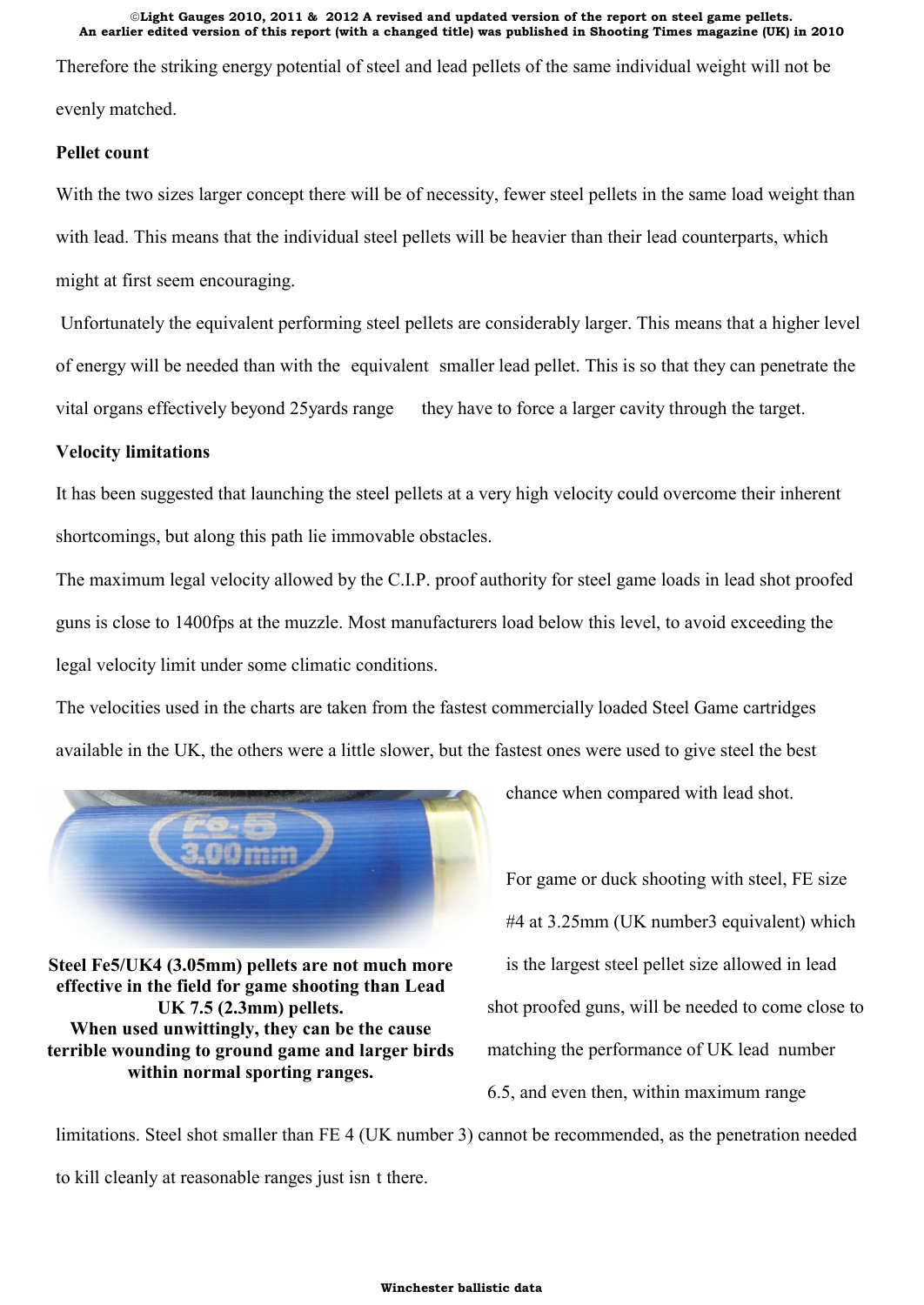Therefore the striking energy potential of steel and lead pellets of the same individual weight will not be evenly matched.

# **Pellet count**

With the two sizes larger concept there will be of necessity, fewer steel pellets in the same load weight than with lead. This means that the individual steel pellets will be heavier than their lead counterparts, which might at first seem encouraging.

Unfortunately the equivalent performing steel pellets are considerably larger. This means that a higher level of energy will be needed than with the equivalent smaller lead pellet. This is so that they can penetrate the vital organs effectively beyond 25 yards range they have to force a larger cavity through the target.

# **Velocity limitations**

It has been suggested that launching the steel pellets at a very high velocity could overcome their inherent shortcomings, but along this path lie immovable obstacles.

The maximum legal velocity allowed by the C.I.P. proof authority for steel game loads in lead shot proofed guns is close to 1400fps at the muzzle. Most manufacturers load below this level, to avoid exceeding the legal velocity limit under some climatic conditions.

The velocities used in the charts are taken from the fastest commercially loaded Steel Game cartridges available in the UK, the others were a little slower, but the fastest ones were used to give steel the best



**Steel Fe5/UK4 (3.05mm) pellets are not much more effective in the field for game shooting than Lead UK 7.5 (2.3mm) pellets. When used unwittingly, they can be the cause terrible wounding to ground game and larger birds within normal sporting ranges.**

chance when compared with lead shot.

For game or duck shooting with steel, FE size #4 at 3.25mm (UK number3 equivalent) which is the largest steel pellet size allowed in lead shot proofed guns, will be needed to come close to matching the performance of UK lead number 6.5, and even then, within maximum range

limitations. Steel shot smaller than FE 4 (UK number 3) cannot be recommended, as the penetration needed to kill cleanly at reasonable ranges just isn t there.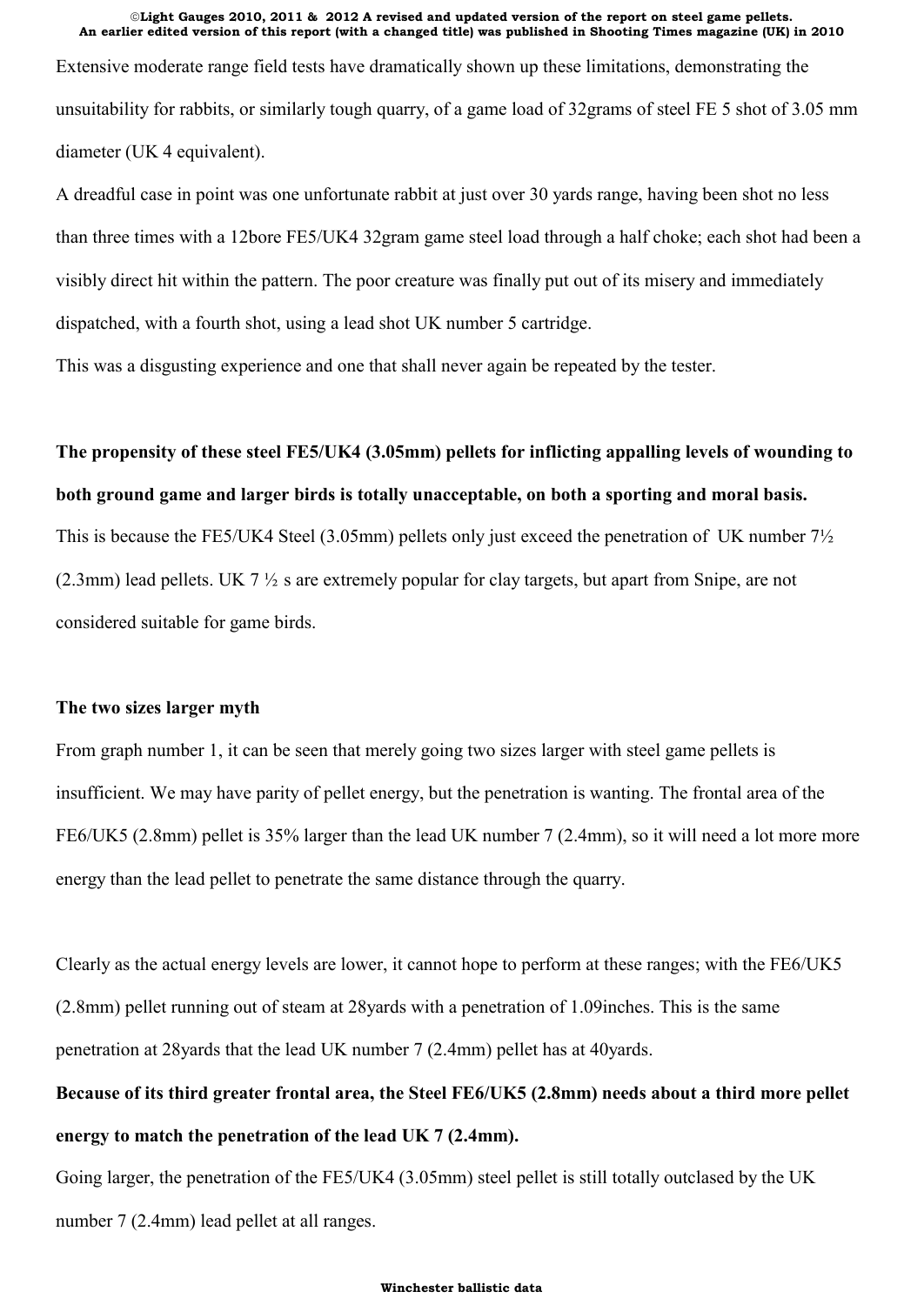Extensive moderate range field tests have dramatically shown up these limitations, demonstrating the unsuitability for rabbits, or similarly tough quarry, of a game load of 32grams of steel FE 5 shot of 3.05 mm diameter (UK 4 equivalent).

A dreadful case in point was one unfortunate rabbit at just over 30 yards range, having been shot no less than three times with a 12bore FE5/UK4 32gram game steel load through a half choke; each shot had been a visibly direct hit within the pattern. The poor creature was finally put out of its misery and immediately dispatched, with a fourth shot, using a lead shot UK number 5 cartridge.

This was a disgusting experience and one that shall never again be repeated by the tester.

# **The propensity of these steel FE5/UK4 (3.05mm) pellets for inflicting appalling levels of wounding to both ground game and larger birds is totally unacceptable, on both a sporting and moral basis.**

This is because the FE5/UK4 Steel (3.05mm) pellets only just exceed the penetration of UK number 7½ (2.3mm) lead pellets. UK 7 ½ s are extremely popular for clay targets, but apart from Snipe, are not considered suitable for game birds.

# **The two sizes larger myth**

From graph number 1, it can be seen that merely going two sizes larger with steel game pellets is insufficient. We may have parity of pellet energy, but the penetration is wanting. The frontal area of the FE6/UK5 (2.8mm) pellet is 35% larger than the lead UK number 7 (2.4mm), so it will need a lot more more energy than the lead pellet to penetrate the same distance through the quarry.

Clearly as the actual energy levels are lower, it cannot hope to perform at these ranges; with the FE6/UK5 (2.8mm) pellet running out of steam at 28yards with a penetration of 1.09inches. This is the same penetration at 28yards that the lead UK number 7 (2.4mm) pellet has at 40yards.

# **Because of its third greater frontal area, the Steel FE6/UK5 (2.8mm) needs about a third more pellet energy to match the penetration of the lead UK 7 (2.4mm).**

Going larger, the penetration of the FE5/UK4 (3.05mm) steel pellet is still totally outclased by the UK number 7 (2.4mm) lead pellet at all ranges.

#### **Winchester ballistic data**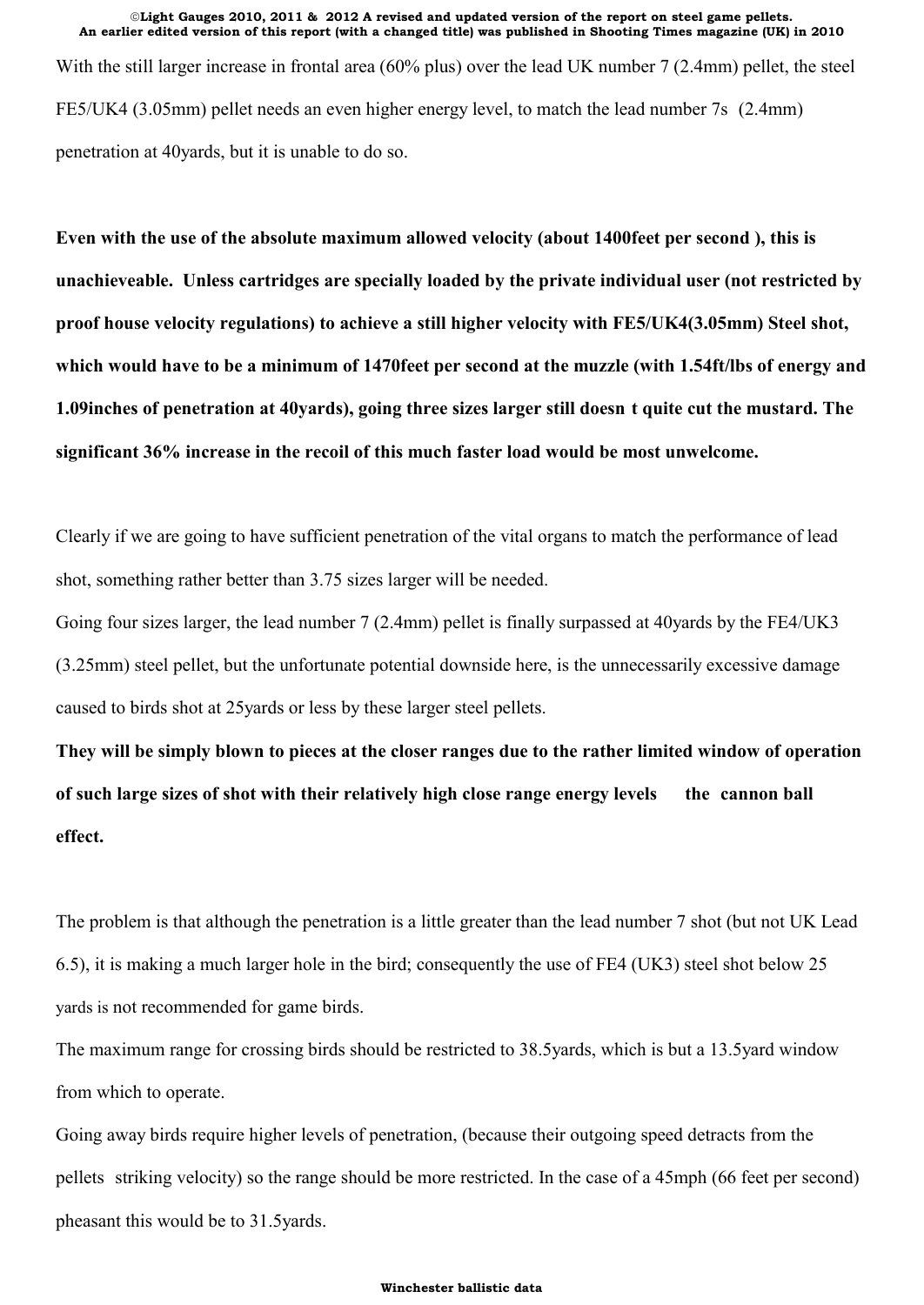With the still larger increase in frontal area (60% plus) over the lead UK number 7 (2.4mm) pellet, the steel FE5/UK4 (3.05mm) pellet needs an even higher energy level, to match the lead number 7s (2.4mm) penetration at 40yards, but it is unable to do so.

**Even with the use of the absolute maximum allowed velocity (about 1400feet per second ), this is unachieveable. Unless cartridges are specially loaded by the private individual user (not restricted by proof house velocity regulations) to achieve a still higher velocity with FE5/UK4(3.05mm) Steel shot, which would have to be a minimum of 1470feet per second at the muzzle (with 1.54ft/lbs of energy and 1.09inches of penetration at 40yards), going three sizes larger still doesn t quite cut the mustard. The significant 36% increase in the recoil of this much faster load would be most unwelcome.**

Clearly if we are going to have sufficient penetration of the vital organs to match the performance of lead shot, something rather better than 3.75 sizes larger will be needed.

Going four sizes larger, the lead number 7 (2.4mm) pellet is finally surpassed at 40yards by the FE4/UK3 (3.25mm) steel pellet, but the unfortunate potential downside here, is the unnecessarily excessive damage caused to birds shot at 25yards or less by these larger steel pellets.

**They will be simply blown to pieces at the closer ranges due to the rather limited window of operation of such large sizes of shot with their relatively high close range energy levels the cannon ball effect.**

The problem is that although the penetration is a little greater than the lead number 7 shot (but not UK Lead 6.5), it is making a much larger hole in the bird; consequently the use of FE4 (UK3) steel shot below 25 yards is not recommended for game birds.

The maximum range for crossing birds should be restricted to 38.5yards, which is but a 13.5yard window from which to operate.

Going away birds require higher levels of penetration, (because their outgoing speed detracts from the pellets striking velocity) so the range should be more restricted. In the case of a 45mph (66 feet per second) pheasant this would be to 31.5yards.

### **Winchester ballistic data**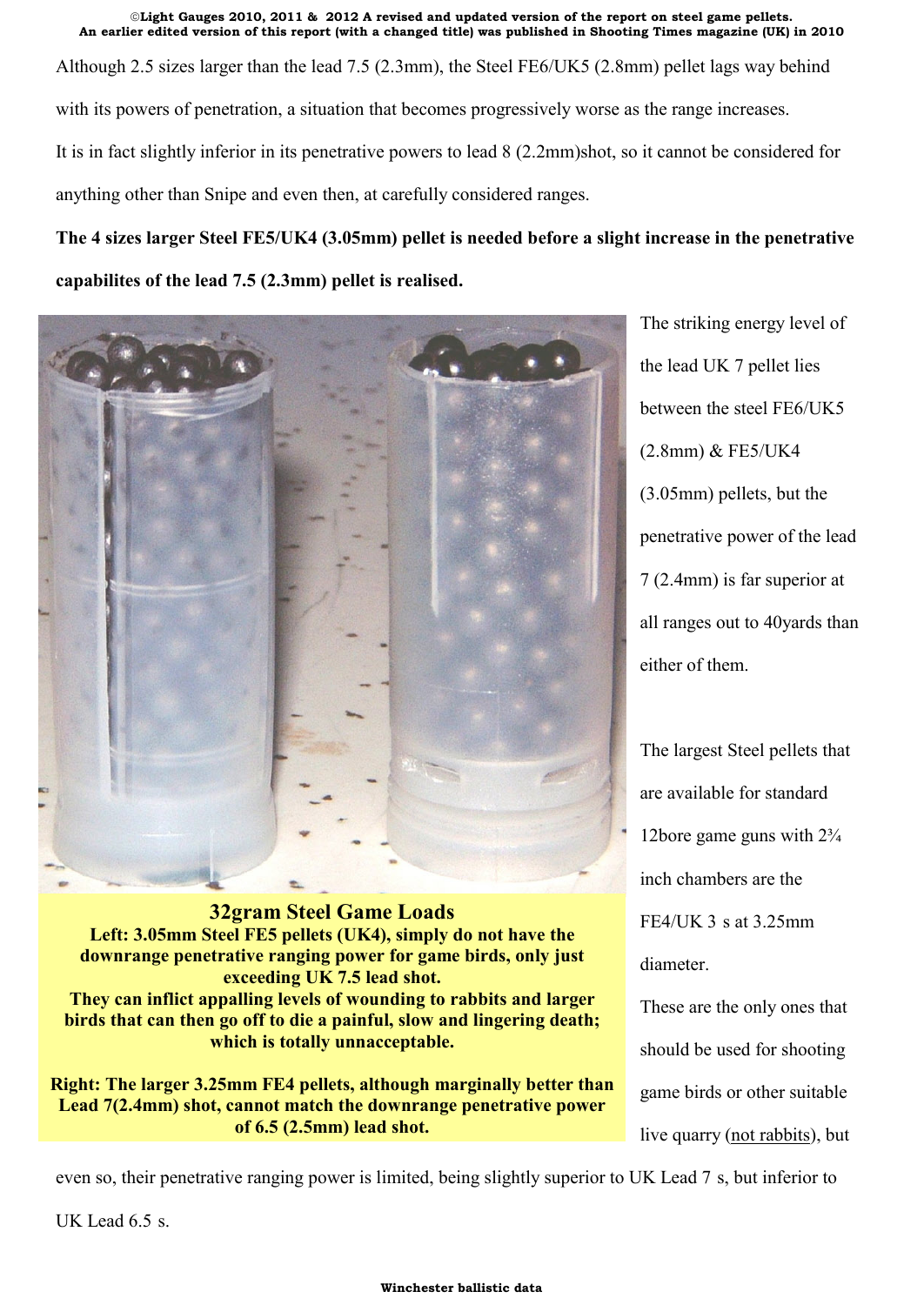**An earlier edited version of this report (with a changed title) was published in Shooting Times magazine (UK) in 2010** Although 2.5 sizes larger than the lead 7.5 (2.3mm), the Steel FE6/UK5 (2.8mm) pellet lags way behind with its powers of penetration, a situation that becomes progressively worse as the range increases. It is in fact slightly inferior in its penetrative powers to lead 8 (2.2mm)shot, so it cannot be considered for anything other than Snipe and even then, at carefully considered ranges.

"**Light Gauges 2010, 2011 & 2012 A revised and updated version of the report on steel game pellets.**

**The 4 sizes larger Steel FE5/UK4 (3.05mm) pellet is needed before a slight increase in the penetrative capabilites of the lead 7.5 (2.3mm) pellet is realised.**



**32gram Steel Game Loads Left: 3.05mm Steel FE5 pellets (UK4), simply do not have the downrange penetrative ranging power for game birds, only just exceeding UK 7.5 lead shot. They can inflict appalling levels of wounding to rabbits and larger birds that can then go off to die a painful, slow and lingering death; which is totally unnacceptable.**

**Right: The larger 3.25mm FE4 pellets, although marginally better than Lead 7(2.4mm) shot, cannot match the downrange penetrative power of 6.5 (2.5mm) lead shot.**

The striking energy level of the lead UK 7 pellet lies between the steel FE6/UK5 (2.8mm) & FE5/UK4 (3.05mm) pellets, but the penetrative power of the lead 7 (2.4mm) is far superior at all ranges out to 40yards than either of them.

The largest Steel pellets that are available for standard 12bore game guns with 2¾ inch chambers are the FE4/UK 3 s at 3.25mm diameter.

These are the only ones that should be used for shooting game birds or other suitable live quarry (not rabbits), but

even so, their penetrative ranging power is limited, being slightly superior to UK Lead 7 s, but inferior to

UK Lead 6.5 s.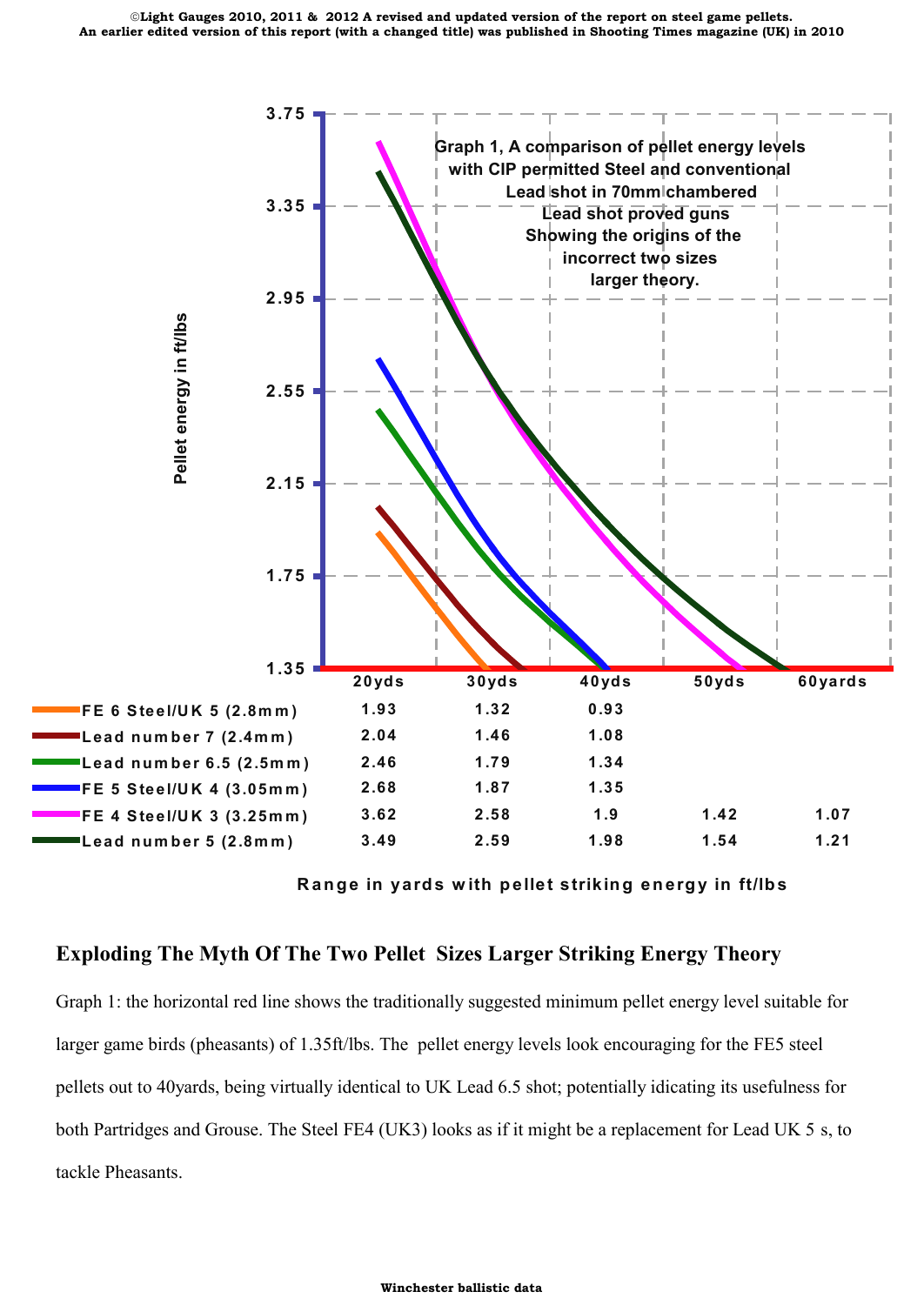

**Range in yards with pellet striking energy in ft/lbs** 

# **Exploding The Myth Of The Two Pellet Sizes Larger Striking Energy Theory**

Graph 1: the horizontal red line shows the traditionally suggested minimum pellet energy level suitable for larger game birds (pheasants) of 1.35ft/lbs. The pellet energy levels look encouraging for the FE5 steel pellets out to 40yards, being virtually identical to UK Lead 6.5 shot; potentially idicating its usefulness for both Partridges and Grouse. The Steel FE4 (UK3) looks as if it might be a replacement for Lead UK 5 s, to tackle Pheasants.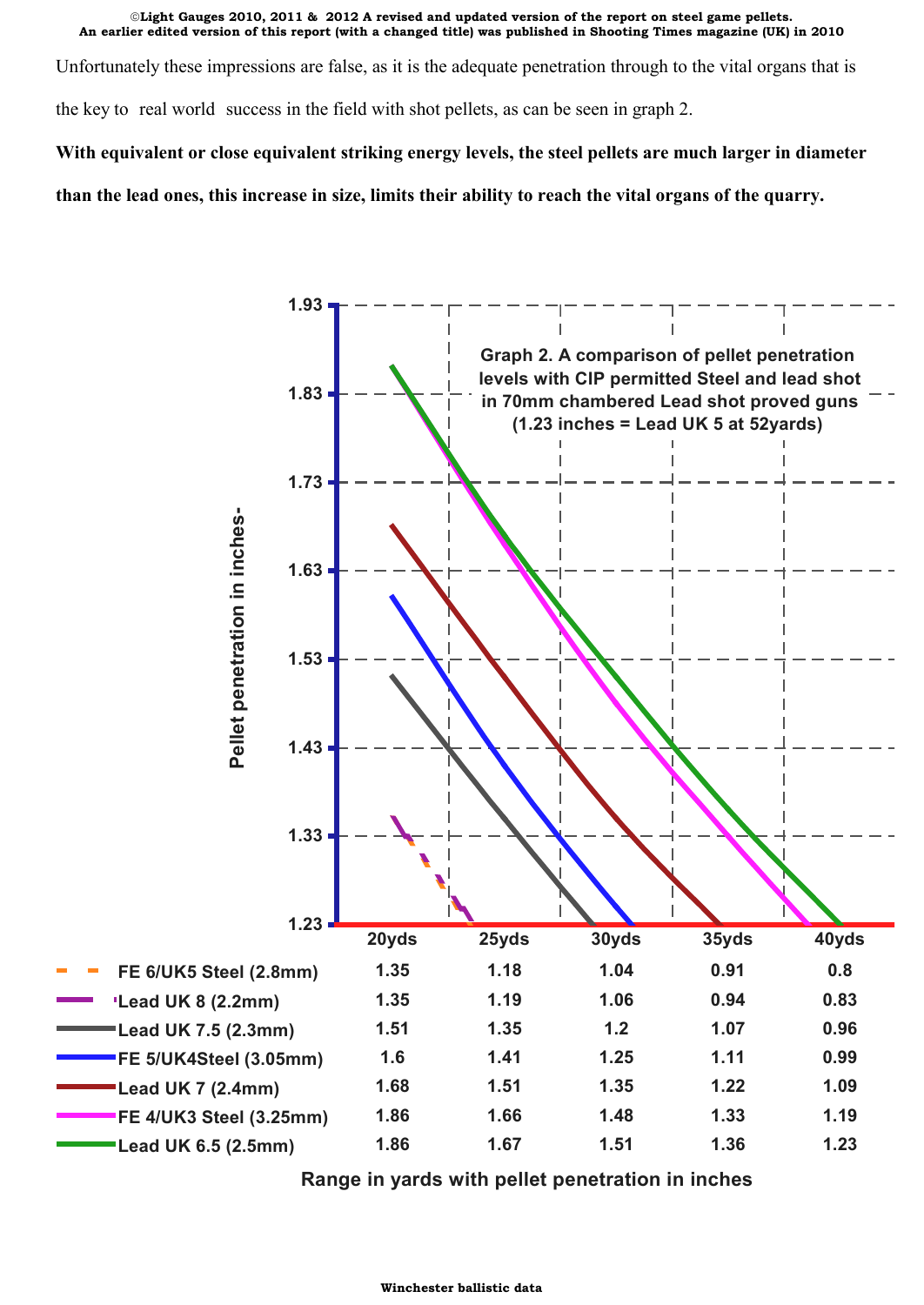Unfortunately these impressions are false, as it is the adequate penetration through to the vital organs that is

the key to real world success in the field with shot pellets, as can be seen in graph 2.

**With equivalent or close equivalent striking energy levels, the steel pellets are much larger in diameter**

**than the lead ones, this increase in size, limits their ability to reach the vital organs of the quarry.**



**Range in yards with pellet penetration in inches**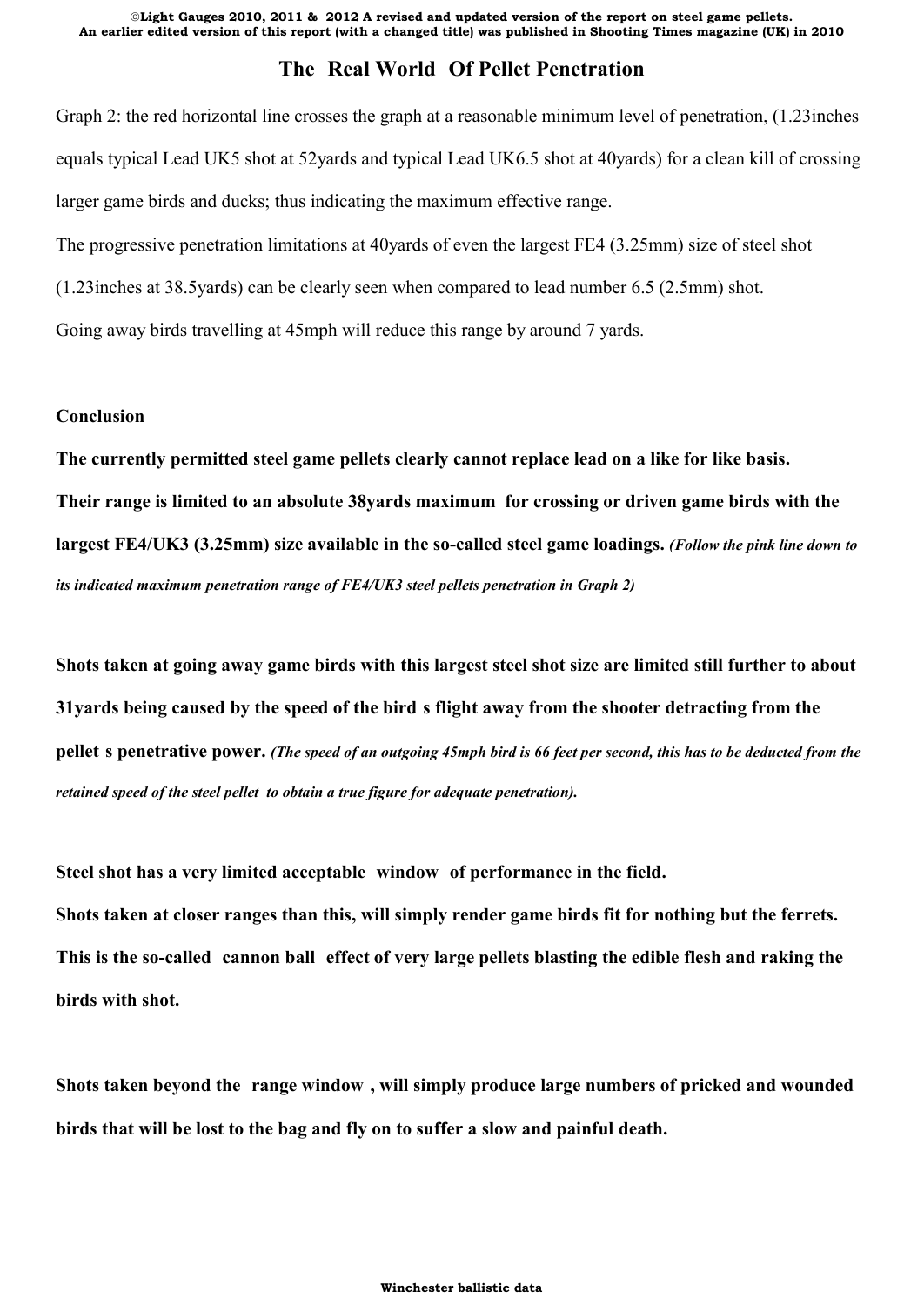# **The Real World Of Pellet Penetration**

Graph 2: the red horizontal line crosses the graph at a reasonable minimum level of penetration, (1.23inches equals typical Lead UK5 shot at 52yards and typical Lead UK6.5 shot at 40yards) for a clean kill of crossing larger game birds and ducks; thus indicating the maximum effective range.

The progressive penetration limitations at 40yards of even the largest FE4 (3.25mm) size of steel shot

(1.23inches at 38.5yards) can be clearly seen when compared to lead number 6.5 (2.5mm) shot.

Going away birds travelling at 45mph will reduce this range by around 7 yards.

## **Conclusion**

**The currently permitted steel game pellets clearly cannot replace lead on a like for like basis. Their range is limited to an absolute 38yards maximum for crossing or driven game birds with the largest FE4/UK3 (3.25mm) size available in the so-called steel game loadings.** *(Follow the pink line down to its indicated maximum penetration range of FE4/UK3 steel pellets penetration in Graph 2)*

**Shots taken at going away game birds with this largest steel shot size are limited still further to about 31yards being caused by the speed of the bird s flight away from the shooter detracting from the pellet s penetrative power.** *(The speed of an outgoing 45mph bird is 66 feet per second, this has to be deducted from the retained speed of the steel pellet to obtain a true figure for adequate penetration).*

**Steel shot has a very limited acceptable window of performance in the field.**

**Shots taken at closer ranges than this, will simply render game birds fit for nothing but the ferrets. This is the so-called cannon ball effect of very large pellets blasting the edible flesh and raking the birds with shot.**

**Shots taken beyond the range window , will simply produce large numbers of pricked and wounded birds that will be lost to the bag and fly on to suffer a slow and painful death.**